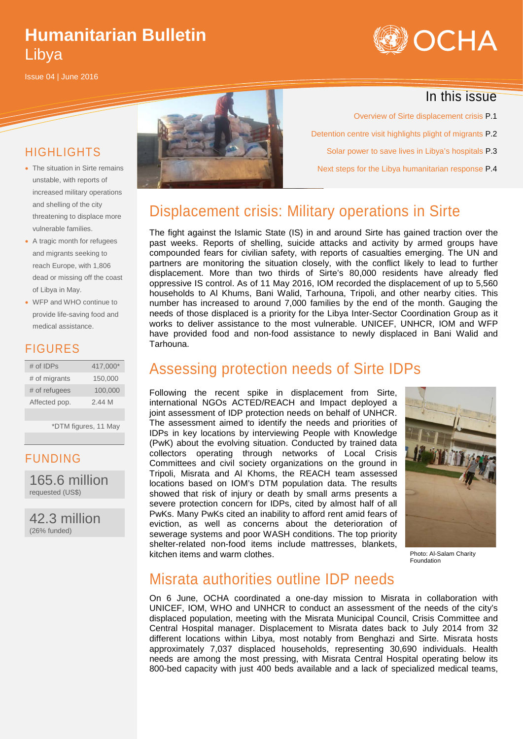# **Humanitarian Bulletin** Libya

Issue 04 | June 2016



#### In this issue

HIGHLIGHTS

- The situation in Sirte remains unstable, with reports of increased military operations and shelling of the city threatening to displace more vulnerable families.
- A tragic month for refugees and migrants seeking to reach Europe, with 1,806 dead or missing off the coast of Libya in May.
- WFP and WHO continue to provide life-saving food and medical assistance.

#### FIGURES

| $#$ of IDPs   | 417.000* |
|---------------|----------|
| # of migrants | 150,000  |
| # of refugees | 100,000  |
| Affected pop. | 2.44M    |

\*DTM figures, 11 May

#### FUNDING

165.6 million requested (US\$)

42.3 million (26% funded)



Overview of Sirte displacement crisis P.1 Detention centre visit highlights plight of migrants P.2 Solar power to save lives in Libya's hospitals P.3 Next steps for the Libya humanitarian response P.4

## Displacement crisis: Military operations in Sirte

The fight against the Islamic State (IS) in and around Sirte has gained traction over the past weeks. Reports of shelling, suicide attacks and activity by armed groups have compounded fears for civilian safety, with reports of casualties emerging. The UN and partners are monitoring the situation closely, with the conflict likely to lead to further displacement. More than two thirds of Sirte's 80,000 residents have already fled oppressive IS control. As of 11 May 2016, IOM recorded the displacement of up to 5,560 households to Al Khums, Bani Walid, Tarhouna, Tripoli, and other nearby cities. This number has increased to around 7,000 families by the end of the month. Gauging the needs of those displaced is a priority for the Libya Inter-Sector Coordination Group as it works to deliver assistance to the most vulnerable. UNICEF, UNHCR, IOM and WFP have provided food and non-food assistance to newly displaced in Bani Walid and Tarhouna.

### Assessing protection needs of Sirte IDPs

Following the recent spike in displacement from Sirte, international NGOs ACTED/REACH and Impact deployed a joint assessment of IDP protection needs on behalf of UNHCR. The assessment aimed to identify the needs and priorities of IDPs in key locations by interviewing People with Knowledge (PwK) about the evolving situation. Conducted by trained data collectors operating through networks of Local Crisis Committees and civil society organizations on the ground in Tripoli, Misrata and Al Khoms, the REACH team assessed locations based on IOM's DTM population data. The results showed that risk of injury or death by small arms presents a severe protection concern for IDPs, cited by almost half of all PwKs. Many PwKs cited an inability to afford rent amid fears of eviction, as well as concerns about the deterioration of sewerage systems and poor WASH conditions. The top priority shelter-related non-food items include mattresses, blankets, kitchen items and warm clothes.



Photo: Al-Salam Charity **Foundation** 

#### Misrata authorities outline IDP needs

On 6 June, OCHA coordinated a one-day mission to Misrata in collaboration with UNICEF, IOM, WHO and UNHCR to conduct an assessment of the needs of the city's displaced population, meeting with the Misrata Municipal Council, Crisis Committee and Central Hospital manager. Displacement to Misrata dates back to July 2014 from 32 different locations within Libya, most notably from Benghazi and Sirte. Misrata hosts approximately 7,037 displaced households, representing 30,690 individuals. Health needs are among the most pressing, with Misrata Central Hospital operating below its 800-bed capacity with just 400 beds available and a lack of specialized medical teams,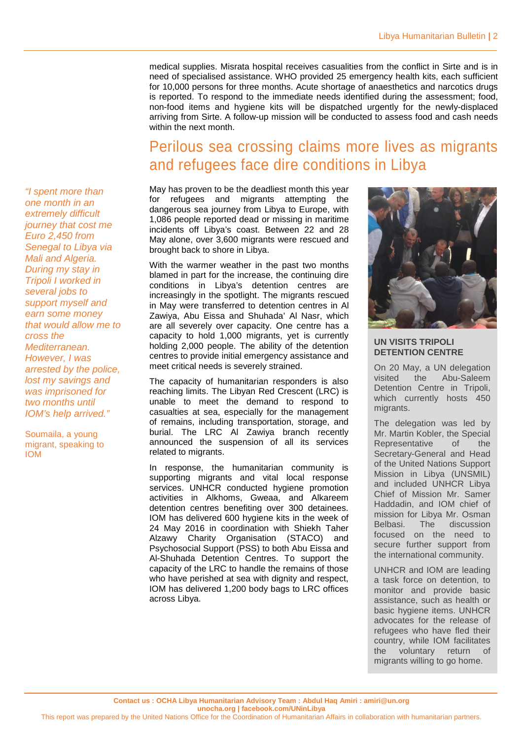medical supplies. Misrata hospital receives casualities from the conflict in Sirte and is in need of specialised assistance. WHO provided 25 emergency health kits, each sufficient for 10,000 persons for three months. Acute shortage of anaesthetics and narcotics drugs is reported. To respond to the immediate needs identified during the assessment; food, non-food items and hygiene kits will be dispatched urgently for the newly-displaced arriving from Sirte. A follow-up mission will be conducted to assess food and cash needs within the next month.

## Perilous sea crossing claims more lives as migrants and refugees face dire conditions in Libya

May has proven to be the deadliest month this year for refugees and migrants attempting the dangerous sea journey from Libya to Europe, with 1,086 people reported dead or missing in maritime incidents off Libya's coast. Between 22 and 28 May alone, over 3,600 migrants were rescued and brought back to shore in Libya.

With the warmer weather in the past two months blamed in part for the increase, the continuing dire conditions in Libya's detention centres are increasingly in the spotlight. The migrants rescued in May were transferred to detention centres in Al Zawiya, Abu Eissa and Shuhada' Al Nasr, which are all severely over capacity. One centre has a capacity to hold 1,000 migrants, yet is currently holding 2,000 people. The ability of the detention centres to provide initial emergency assistance and meet critical needs is severely strained.

The capacity of humanitarian responders is also reaching limits. The Libyan Red Crescent (LRC) is unable to meet the demand to respond to casualties at sea, especially for the management of remains, including transportation, storage, and burial. The LRC Al Zawiya branch recently announced the suspension of all its services related to migrants.

In response, the humanitarian community is supporting migrants and vital local response services. UNHCR conducted hygiene promotion activities in Alkhoms, Gweaa, and Alkareem detention centres benefiting over 300 detainees. IOM has delivered 600 hygiene kits in the week of 24 May 2016 in coordination with Shiekh Taher Alzawy Charity Organisation (STACO) and Psychosocial Support (PSS) to both Abu Eissa and Al-Shuhada Detention Centres. To support the capacity of the LRC to handle the remains of those who have perished at sea with dignity and respect, IOM has delivered 1,200 body bags to LRC offices across Libya.



#### **UN VISITS TRIPOLI DETENTION CENTRE**

On 20 May, a UN delegation visited the Abu-Saleem Detention Centre in Tripoli, which currently hosts 450 migrants.

The delegation was led by Mr. Martin Kobler, the Special Representative of the Secretary-General and Head of the United Nations Support Mission in Libya (UNSMIL) and included UNHCR Libya Chief of Mission Mr. Samer Haddadin, and IOM chief of mission for Libya Mr. Osman Belbasi. The discussion focused on the need to secure further support from the international community.

UNHCR and IOM are leading a task force on detention, to monitor and provide basic assistance, such as health or basic hygiene items. UNHCR advocates for the release of refugees who have fled their country, while IOM facilitates the voluntary return of migrants willing to go home.

*"I spent more than one month in an extremely difficult journey that cost me Euro 2,450 from Senegal to Libya via Mali and Algeria. During my stay in Tripoli I worked in several jobs to support myself and earn some money that would allow me to cross the Mediterranean. However, I was arrested by the police, lost my savings and was imprisoned for two months until IOM's help arrived."*

Soumaila, a young migrant, speaking to IOM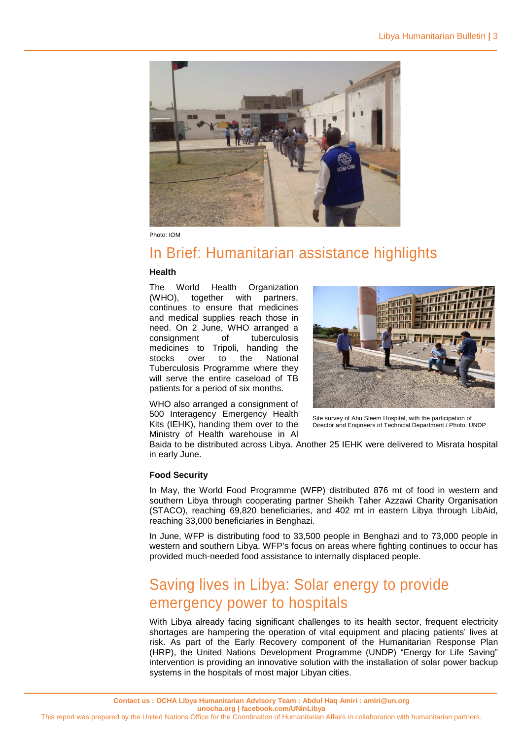

Photo: IOM

### In Brief: Humanitarian assistance highlights

#### **Health**

The World Health Organization (WHO), together with partners, continues to ensure that medicines and medical supplies reach those in need. On 2 June, WHO arranged a consignment of tuberculosis medicines to Tripoli, handing the stocks over to the National Tuberculosis Programme where they will serve the entire caseload of TB patients for a period of six months.

WHO also arranged a consignment of 500 Interagency Emergency Health Kits (IEHK), handing them over to the Ministry of Health warehouse in Al



Site survey of Abu Sleem Hospital, with the participation of Director and Engineers of Technical Department / Photo: UNDP

Baida to be distributed across Libya. Another 25 IEHK were delivered to Misrata hospital in early June.

#### **Food Security**

In May, the World Food Programme (WFP) distributed 876 mt of food in western and southern Libya through cooperating partner Sheikh Taher Azzawi Charity Organisation (STACO), reaching 69,820 beneficiaries, and 402 mt in eastern Libya through LibAid, reaching 33,000 beneficiaries in Benghazi.

In June, WFP is distributing food to 33,500 people in Benghazi and to 73,000 people in western and southern Libya. WFP's focus on areas where fighting continues to occur has provided much-needed food assistance to internally displaced people.

## Saving lives in Libya: Solar energy to provide emergency power to hospitals

With Libya already facing significant challenges to its health sector, frequent electricity shortages are hampering the operation of vital equipment and placing patients' lives at risk. As part of the Early Recovery component of the Humanitarian Response Plan (HRP), the United Nations Development Programme (UNDP) "Energy for Life Saving" intervention is providing an innovative solution with the installation of solar power backup systems in the hospitals of most major Libyan cities.